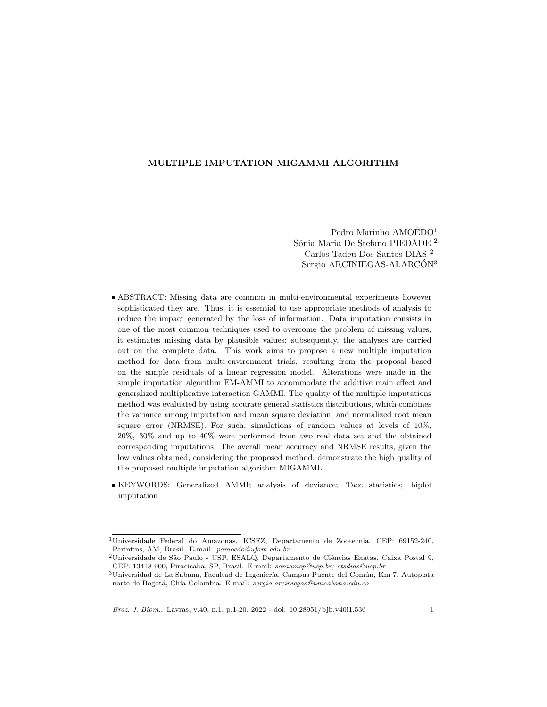## MULTIPLE IMPUTATION MIGAMMI ALGORITHM

Pedro Marinho  $AMOÉDO<sup>1</sup>$ Sônia Maria De Stefano PIEDADE <sup>2</sup> Carlos Tadeu Dos Santos DIAS <sup>2</sup> Sergio ARCINIEGAS-ALARCÓN<sup>3</sup>

- ABSTRACT: Missing data are common in multi-environmental experiments however sophisticated they are. Thus, it is essential to use appropriate methods of analysis to reduce the impact generated by the loss of information. Data imputation consists in one of the most common techniques used to overcome the problem of missing values, it estimates missing data by plausible values; subsequently, the analyses are carried out on the complete data. This work aims to propose a new multiple imputation method for data from multi-environment trials, resulting from the proposal based on the simple residuals of a linear regression model. Alterations were made in the simple imputation algorithm EM-AMMI to accommodate the additive main effect and generalized multiplicative interaction GAMMI. The quality of the multiple imputations method was evaluated by using accurate general statistics distributions, which combines the variance among imputation and mean square deviation, and normalized root mean square error (NRMSE). For such, simulations of random values at levels of 10%, 20%, 30% and up to 40% were performed from two real data set and the obtained corresponding imputations. The overall mean accuracy and NRMSE results, given the low values obtained, considering the proposed method, demonstrate the high quality of the proposed multiple imputation algorithm MIGAMMI.
- KEYWORDS: Generalized AMMI; analysis of deviance; Tacc statistics; biplot imputation

<sup>1</sup>Universidade Federal do Amazonas, ICSEZ, Departamento de Zootecnia, CEP: 69152-240, Parintins, AM, Brasil. E-mail: pamoedo@ufam.edu.br

 $^2$ Universidade de São Paulo - USP, ESALQ, Departamento de Ciências Exatas, Caixa Postal 9, CEP: 13418-900, Piracicaba, SP, Brasil. E-mail: soniamsp@usp.br; ctsdias@usp.br

 $^3$ Universidad de La Sabana, Facultad de Ingeniería, Campus Puente del Común, Km 7, Autopista norte de Bogotá, Chía-Colombia. E-mail: sergio.arciniegas@unisabana.edu.co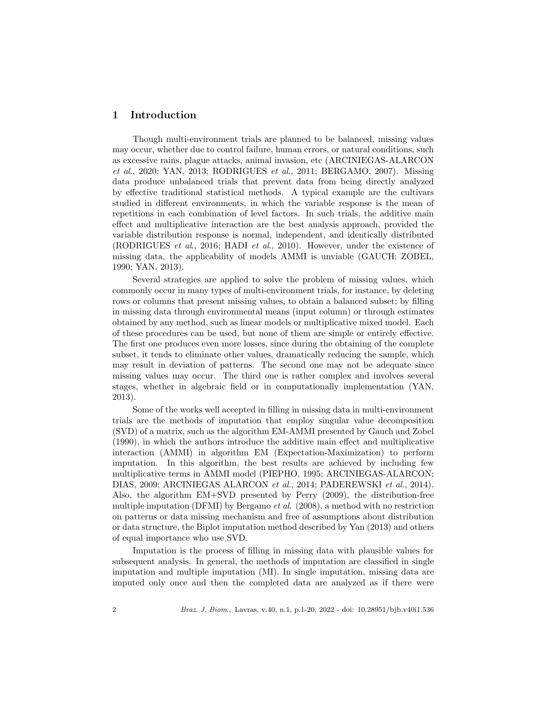# 1 Introduction

Though multi-environment trials are planned to be balanced, missing values may occur, whether due to control failure, human errors, or natural conditions, such as excessive rains, plague attacks, animal invasion, etc (ARCINIEGAS-ALARCON et al., 2020; YAN, 2013; RODRIGUES et al., 2011; BERGAMO, 2007). Missing data produce unbalanced trials that prevent data from being directly analyzed by effective traditional statistical methods. A typical example are the cultivars studied in different environments, in which the variable response is the mean of repetitions in each combination of level factors. In such trials, the additive main effect and multiplicative interaction are the best analysis approach, provided the variable distribution response is normal, independent, and identically distributed (RODRIGUES et al., 2016; HADI et al., 2010). However, under the existence of missing data, the applicability of models AMMI is unviable (GAUCH; ZOBEL, 1990; YAN, 2013).

Several strategies are applied to solve the problem of missing values, which commonly occur in many types of multi-environment trials, for instance, by deleting rows or columns that present missing values, to obtain a balanced subset; by filling in missing data through environmental means (input column) or through estimates obtained by any method, such as linear models or multiplicative mixed model. Each of these procedures can be used, but none of them are simple or entirely effective. The first one produces even more losses, since during the obtaining of the complete subset, it tends to eliminate other values, dramatically reducing the sample, which may result in deviation of patterns. The second one may not be adequate since missing values may occur. The third one is rather complex and involves several stages, whether in algebraic field or in computationally implementation (YAN, 2013).

Some of the works well accepted in filling in missing data in multi-environment trials are the methods of imputation that employ singular value decomposition (SVD) of a matrix, such as the algorithm EM-AMMI presented by Gauch and Zobel (1990), in which the authors introduce the additive main effect and multiplicative interaction (AMMI) in algorithm EM (Expectation-Maximization) to perform imputation. In this algorithm, the best results are achieved by including few multiplicative terms in AMMI model (PIEPHO, 1995; ARCINIEGAS-ALARCON; DIAS, 2009; ARCINIEGAS ALARCON et al., 2014; PADEREWSKI et al., 2014). Also, the algorithm EM+SVD presented by Perry (2009), the distribution-free multiple imputation (DFMI) by Bergamo *et al.* (2008), a method with no restriction on patterns or data missing mechanism and free of assumptions about distribution or data structure, the Biplot imputation method described by Yan (2013) and others of equal importance who use SVD.

Imputation is the process of filling in missing data with plausible values for subsequent analysis. In general, the methods of imputation are classified in single imputation and multiple imputation (MI). In single imputation, missing data are imputed only once and then the completed data are analyzed as if there were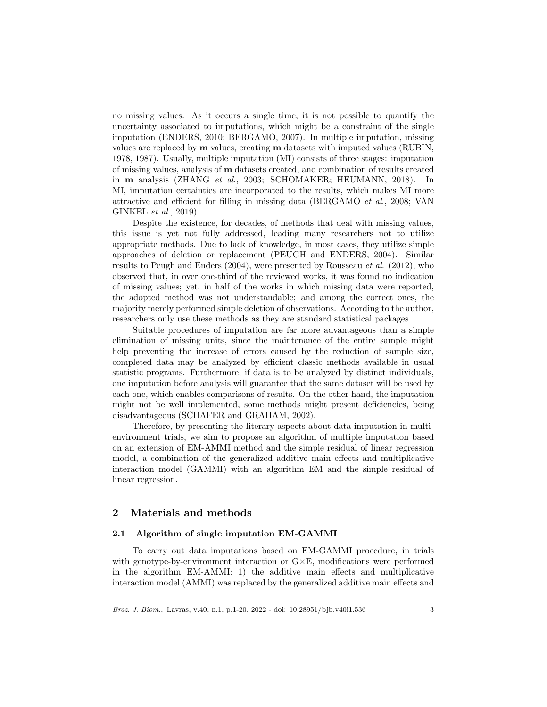no missing values. As it occurs a single time, it is not possible to quantify the uncertainty associated to imputations, which might be a constraint of the single imputation (ENDERS, 2010; BERGAMO, 2007). In multiple imputation, missing values are replaced by m values, creating m datasets with imputed values (RUBIN, 1978, 1987). Usually, multiple imputation (MI) consists of three stages: imputation of missing values, analysis of m datasets created, and combination of results created in m analysis (ZHANG et al., 2003; SCHOMAKER; HEUMANN, 2018). In MI, imputation certainties are incorporated to the results, which makes MI more attractive and efficient for filling in missing data (BERGAMO et al., 2008; VAN GINKEL et al., 2019).

Despite the existence, for decades, of methods that deal with missing values, this issue is yet not fully addressed, leading many researchers not to utilize appropriate methods. Due to lack of knowledge, in most cases, they utilize simple approaches of deletion or replacement (PEUGH and ENDERS, 2004). Similar results to Peugh and Enders (2004), were presented by Rousseau et al. (2012), who observed that, in over one-third of the reviewed works, it was found no indication of missing values; yet, in half of the works in which missing data were reported, the adopted method was not understandable; and among the correct ones, the majority merely performed simple deletion of observations. According to the author, researchers only use these methods as they are standard statistical packages.

Suitable procedures of imputation are far more advantageous than a simple elimination of missing units, since the maintenance of the entire sample might help preventing the increase of errors caused by the reduction of sample size, completed data may be analyzed by efficient classic methods available in usual statistic programs. Furthermore, if data is to be analyzed by distinct individuals, one imputation before analysis will guarantee that the same dataset will be used by each one, which enables comparisons of results. On the other hand, the imputation might not be well implemented, some methods might present deficiencies, being disadvantageous (SCHAFER and GRAHAM, 2002).

Therefore, by presenting the literary aspects about data imputation in multienvironment trials, we aim to propose an algorithm of multiple imputation based on an extension of EM-AMMI method and the simple residual of linear regression model, a combination of the generalized additive main effects and multiplicative interaction model (GAMMI) with an algorithm EM and the simple residual of linear regression.

# 2 Materials and methods

## 2.1 Algorithm of single imputation EM-GAMMI

To carry out data imputations based on EM-GAMMI procedure, in trials with genotype-by-environment interaction or  $G \times E$ , modifications were performed in the algorithm EM-AMMI: 1) the additive main effects and multiplicative interaction model (AMMI) was replaced by the generalized additive main effects and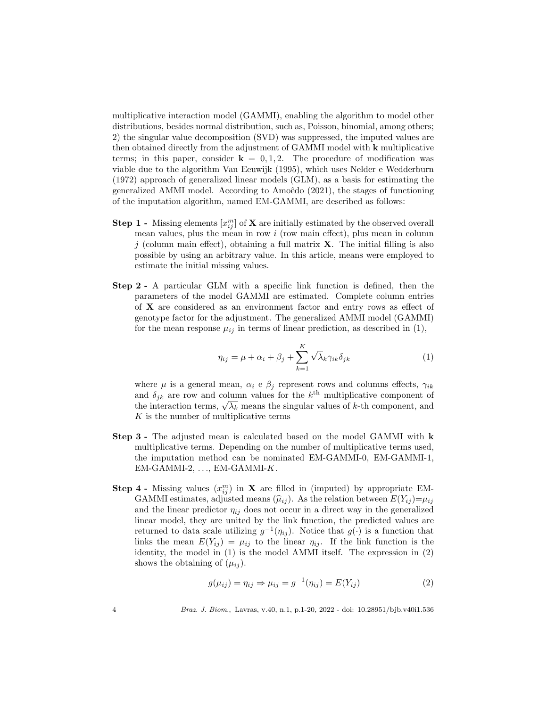multiplicative interaction model (GAMMI), enabling the algorithm to model other distributions, besides normal distribution, such as, Poisson, binomial, among others; 2) the singular value decomposition (SVD) was suppressed, the imputed values are then obtained directly from the adjustment of GAMMI model with k multiplicative terms; in this paper, consider  $\mathbf{k} = 0, 1, 2$ . The procedure of modification was viable due to the algorithm Van Eeuwijk (1995), which uses Nelder e Wedderburn (1972) approach of generalized linear models (GLM), as a basis for estimating the generalized AMMI model. According to Amoêdo  $(2021)$ , the stages of functioning of the imputation algorithm, named EM-GAMMI, are described as follows:

- **Step 1** Missing elements  $[x_{ij}^m]$  of **X** are initially estimated by the observed overall mean values, plus the mean in row  $i$  (row main effect), plus mean in column j (column main effect), obtaining a full matrix  $X$ . The initial filling is also possible by using an arbitrary value. In this article, means were employed to estimate the initial missing values.
- Step 2 A particular GLM with a specific link function is defined, then the parameters of the model GAMMI are estimated. Complete column entries of X are considered as an environment factor and entry rows as effect of genotype factor for the adjustment. The generalized AMMI model (GAMMI) for the mean response  $\mu_{ij}$  in terms of linear prediction, as described in (1),

$$
\eta_{ij} = \mu + \alpha_i + \beta_j + \sum_{k=1}^{K} \sqrt{\lambda_k} \gamma_{ik} \delta_{jk}
$$
 (1)

where  $\mu$  is a general mean,  $\alpha_i$  e  $\beta_j$  represent rows and columns effects,  $\gamma_{ik}$ and  $\delta_{jk}$  are row and column values for the  $k^{\text{th}}$  multiplicative component of and  $\sigma_{jk}$  are row and column values for the  $\kappa$  multiplicative component of the interaction terms,  $\sqrt{\lambda_k}$  means the singular values of k-th component, and K is the number of multiplicative terms

- Step 3 The adjusted mean is calculated based on the model GAMMI with k multiplicative terms. Depending on the number of multiplicative terms used, the imputation method can be nominated EM-GAMMI-0, EM-GAMMI-1,  $EM-GAMMI-2, \ldots, EM-GAMMI-K.$
- **Step 4** Missing values  $(x_{ij}^m)$  in **X** are filled in (imputed) by appropriate EM-GAMMI estimates, adjusted means  $(\widehat{\mu}_{ij})$ . As the relation between  $E(Y_{ij})=\mu_{ij}$ and the linear predictor  $\eta_{ij}$  does not occur in a direct way in the generalized linear model, they are united by the link function, the predicted values are returned to data scale utilizing  $g^{-1}(\eta_{ij})$ . Notice that  $g(\cdot)$  is a function that links the mean  $E(Y_{ij}) = \mu_{ij}$  to the linear  $\eta_{ij}$ . If the link function is the identity, the model in (1) is the model AMMI itself. The expression in (2) shows the obtaining of  $(\mu_{ij})$ .

$$
g(\mu_{ij}) = \eta_{ij} \Rightarrow \mu_{ij} = g^{-1}(\eta_{ij}) = E(Y_{ij})
$$
\n
$$
(2)
$$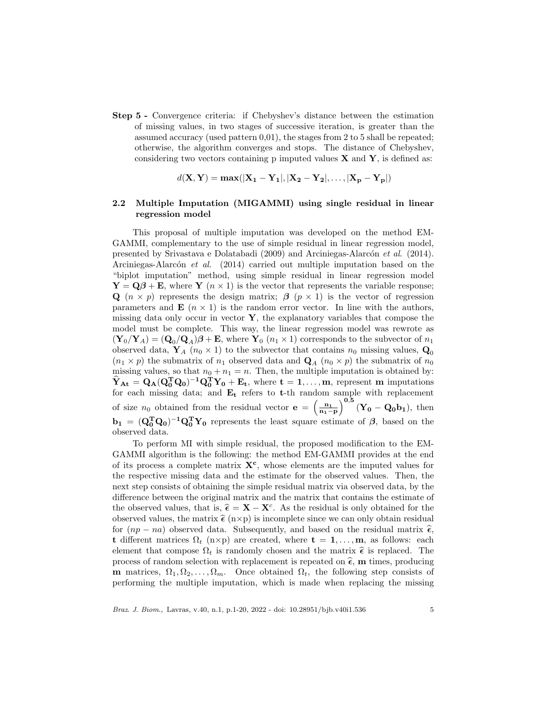Step 5 - Convergence criteria: if Chebyshev's distance between the estimation of missing values, in two stages of successive iteration, is greater than the assumed accuracy (used pattern 0,01), the stages from 2 to 5 shall be repeated; otherwise, the algorithm converges and stops. The distance of Chebyshev, considering two vectors containing p imputed values  $X$  and  $Y$ , is defined as:

$$
d(\mathbf{X}, \mathbf{Y}) = \max(|\mathbf{X_1} - \mathbf{Y_1}|, |\mathbf{X_2} - \mathbf{Y_2}|, \dots, |\mathbf{X_p} - \mathbf{Y_p}|)
$$

## 2.2 Multiple Imputation (MIGAMMI) using single residual in linear regression model

This proposal of multiple imputation was developed on the method EM-GAMMI, complementary to the use of simple residual in linear regression model, presented by Srivastava e Dolatabadi (2009) and Arciniegas-Alarcón et al. (2014). Arciniegas-Alarcón et al.  $(2014)$  carried out multiple imputation based on the "biplot imputation" method, using simple residual in linear regression model  $\mathbf{Y} = \mathbf{Q}\boldsymbol{\beta} + \mathbf{E}$ , where  $\mathbf{Y}$  ( $n \times 1$ ) is the vector that represents the variable response; Q  $(n \times p)$  represents the design matrix;  $\beta$   $(p \times 1)$  is the vector of regression parameters and  $\mathbf{E}$   $(n \times 1)$  is the random error vector. In line with the authors, missing data only occur in vector  $\mathbf{Y}$ , the explanatory variables that compose the model must be complete. This way, the linear regression model was rewrote as  $(\mathbf{Y}_0/\mathbf{Y}_A) = (\mathbf{Q}_0/\mathbf{Q}_A)\boldsymbol{\beta} + \mathbf{E}$ , where  $\mathbf{Y}_0$   $(n_1 \times 1)$  corresponds to the subvector of  $n_1$ observed data,  $\mathbf{Y}_A$  ( $n_0 \times 1$ ) to the subvector that contains  $n_0$  missing values,  $\mathbf{Q}_0$  $(n_1 \times p)$  the submatrix of  $n_1$  observed data and  $\mathbf{Q}_A$   $(n_0 \times p)$  the submatrix of  $n_0$ missing values, so that  $n_0 + n_1 = n$ . Then, the multiple imputation is obtained by:  $\hat{Y}_{\text{At}} = Q_{\text{A}} (Q_{0}^{T} Q_{0})^{-1} Q_{0}^{T} Y_{0} + E_{t}$ , where  $t = 1, ..., m$ , represent m imputations for each missing data; and  $E_t$  refers to t-th random sample with replacement of size  $n_0$  obtained from the residual vector  $\mathbf{e} = \left(\frac{n_1}{n_1-p}\right)^{0,5} (\mathbf{Y_0} - \mathbf{Q_0 b_1})$ , then  $\mathbf{b}_1 = (\mathbf{Q}_0^T \mathbf{Q}_0)^{-1} \mathbf{Q}_0^T \mathbf{Y}_0$  represents the least square estimate of  $\beta$ , based on the observed data.

To perform MI with simple residual, the proposed modification to the EM-GAMMI algorithm is the following: the method EM-GAMMI provides at the end of its process a complete matrix  $X^c$ , whose elements are the imputed values for the respective missing data and the estimate for the observed values. Then, the next step consists of obtaining the simple residual matrix via observed data, by the difference between the original matrix and the matrix that contains the estimate of the observed values, that is,  $\hat{\epsilon} = \mathbf{X} - \mathbf{X}^c$ . As the residual is only obtained for the observed values, the matrix  $\hat{\epsilon}$  ( $p \times p$ ) is incomplete since we can only obtain residual observed values, the matrix  $\hat{\epsilon}$  (n×p) is incomplete since we can only obtain residual for  $(np - na)$  observed data. Subsequently, and based on the residual matrix  $\hat{\epsilon}$ , t different matrices  $\Omega_t$  (n×p) are created, where  $\mathbf{t} = 1, \ldots, \mathbf{m}$ , as follows: each element that compose  $\Omega_t$  is randomly chosen and the matrix  $\hat{\epsilon}$  is replaced. The process of random selection with replacement is repeated on  $\hat{\epsilon}$ , m times, producing **m** matrices,  $\Omega_1, \Omega_2, \ldots, \Omega_m$ . Once obtained  $\Omega_t$ , the following step consists of performing the multiple imputation, which is made when replacing the missing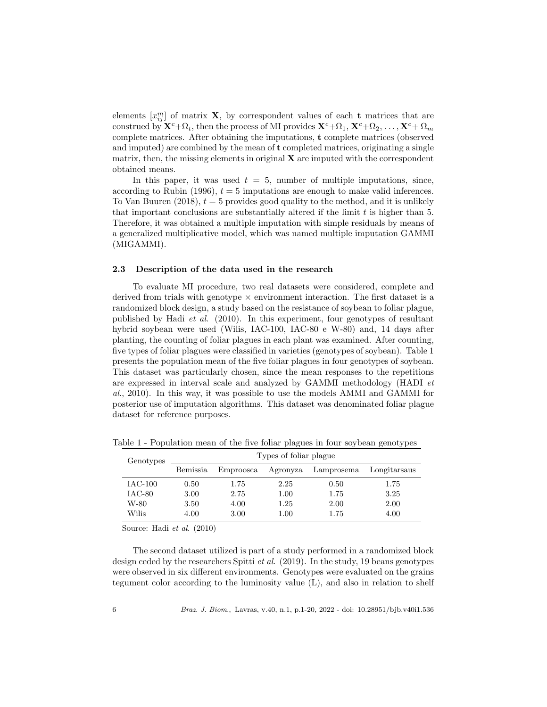elements  $[x_{ij}^m]$  of matrix **X**, by correspondent values of each **t** matrices that are construed by  ${\bf X}^c+\Omega_t$ , then the process of MI provides  ${\bf X}^c+\Omega_1, {\bf X}^c+\Omega_2, \ldots, {\bf X}^c+\Omega_m$ complete matrices. After obtaining the imputations, t complete matrices (observed and imputed) are combined by the mean of  $t$  completed matrices, originating a single matrix, then, the missing elements in original  $X$  are imputed with the correspondent obtained means.

In this paper, it was used  $t = 5$ , number of multiple imputations, since, according to Rubin (1996),  $t = 5$  imputations are enough to make valid inferences. To Van Buuren  $(2018)$ ,  $t = 5$  provides good quality to the method, and it is unlikely that important conclusions are substantially altered if the limit  $t$  is higher than  $5$ . Therefore, it was obtained a multiple imputation with simple residuals by means of a generalized multiplicative model, which was named multiple imputation GAMMI (MIGAMMI).

#### 2.3 Description of the data used in the research

To evaluate MI procedure, two real datasets were considered, complete and derived from trials with genotype  $\times$  environment interaction. The first dataset is a randomized block design, a study based on the resistance of soybean to foliar plague, published by Hadi et al. (2010). In this experiment, four genotypes of resultant hybrid soybean were used (Wilis, IAC-100, IAC-80 e W-80) and, 14 days after planting, the counting of foliar plagues in each plant was examined. After counting, five types of foliar plagues were classified in varieties (genotypes of soybean). Table 1 presents the population mean of the five foliar plagues in four genotypes of soybean. This dataset was particularly chosen, since the mean responses to the repetitions are expressed in interval scale and analyzed by GAMMI methodology (HADI et al., 2010). In this way, it was possible to use the models AMMI and GAMMI for posterior use of imputation algorithms. This dataset was denominated foliar plague dataset for reference purposes.

| Genotypes | Types of foliar plague |           |          |            |              |  |  |  |  |  |
|-----------|------------------------|-----------|----------|------------|--------------|--|--|--|--|--|
|           | Bemissia               | Emproosca | Agronyza | Lamprosema | Longitarsaus |  |  |  |  |  |
| $IAC-100$ | 0.50                   | 1.75      | 2.25     | 0.50       | 1.75         |  |  |  |  |  |
| $IAC-80$  | 3.00                   | 2.75      | 1.00     | 1.75       | 3.25         |  |  |  |  |  |
| W-80      | 3.50                   | 4.00      | 1.25     | 2.00       | 2.00         |  |  |  |  |  |
| Wilis     | 4.00                   | 3.00      | 1.00     | 1.75       | 4.00         |  |  |  |  |  |

Table 1 - Population mean of the five foliar plagues in four soybean genotypes

Source: Hadi et al. (2010)

The second dataset utilized is part of a study performed in a randomized block design ceded by the researchers Spitti et al. (2019). In the study, 19 beans genotypes were observed in six different environments. Genotypes were evaluated on the grains tegument color according to the luminosity value (L), and also in relation to shelf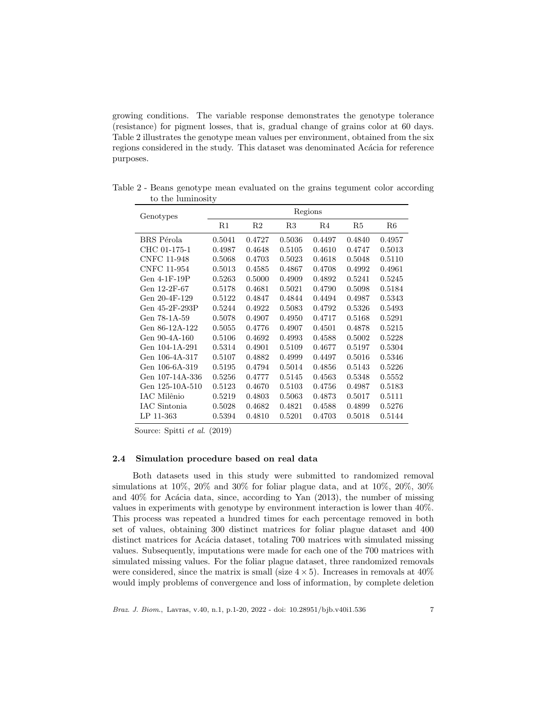growing conditions. The variable response demonstrates the genotype tolerance (resistance) for pigment losses, that is, gradual change of grains color at 60 days. Table 2 illustrates the genotype mean values per environment, obtained from the six regions considered in the study. This dataset was denominated Acácia for reference purposes.

| Genotypes             |             |                |        | Regions |        |        |
|-----------------------|-------------|----------------|--------|---------|--------|--------|
|                       | $_{\rm R1}$ | R <sub>2</sub> | R3     | R4      | R5     | R6     |
| BRS Pérola            | 0.5041      | 0.4727         | 0.5036 | 0.4497  | 0.4840 | 0.4957 |
| CHC 01-175-1          | 0.4987      | 0.4648         | 0.5105 | 0.4610  | 0.4747 | 0.5013 |
| <b>CNFC 11-948</b>    | 0.5068      | 0.4703         | 0.5023 | 0.4618  | 0.5048 | 0.5110 |
| <b>CNFC 11-954</b>    | 0.5013      | 0.4585         | 0.4867 | 0.4708  | 0.4992 | 0.4961 |
| $Gen$ 4-1 $F$ -19 $P$ | 0.5263      | 0.5000         | 0.4909 | 0.4892  | 0.5241 | 0.5245 |
| Gen 12-2F-67          | 0.5178      | 0.4681         | 0.5021 | 0.4790  | 0.5098 | 0.5184 |
| Gen 20-4F-129         | 0.5122      | 0.4847         | 0.4844 | 0.4494  | 0.4987 | 0.5343 |
| Gen 45-2F-293P        | 0.5244      | 0.4922         | 0.5083 | 0.4792  | 0.5326 | 0.5493 |
| Gen 78-1A-59          | 0.5078      | 0.4907         | 0.4950 | 0.4717  | 0.5168 | 0.5291 |
| Gen 86-12A-122        | 0.5055      | 0.4776         | 0.4907 | 0.4501  | 0.4878 | 0.5215 |
| Gen 90-4A-160         | 0.5106      | 0.4692         | 0.4993 | 0.4588  | 0.5002 | 0.5228 |
| Gen 104-1A-291        | 0.5314      | 0.4901         | 0.5109 | 0.4677  | 0.5197 | 0.5304 |
| Gen 106-4A-317        | 0.5107      | 0.4882         | 0.4999 | 0.4497  | 0.5016 | 0.5346 |
| Gen 106-6A-319        | 0.5195      | 0.4794         | 0.5014 | 0.4856  | 0.5143 | 0.5226 |
| Gen 107-14A-336       | 0.5256      | 0.4777         | 0.5145 | 0.4563  | 0.5348 | 0.5552 |
| Gen 125-10A-510       | 0.5123      | 0.4670         | 0.5103 | 0.4756  | 0.4987 | 0.5183 |
| IAC Milênio           | 0.5219      | 0.4803         | 0.5063 | 0.4873  | 0.5017 | 0.5111 |
| IAC Sintonia          | 0.5028      | 0.4682         | 0.4821 | 0.4588  | 0.4899 | 0.5276 |
| LP 11-363             | 0.5394      | 0.4810         | 0.5201 | 0.4703  | 0.5018 | 0.5144 |

Table 2 - Beans genotype mean evaluated on the grains tegument color according to the luminosity

Source: Spitti et al. (2019)

## 2.4 Simulation procedure based on real data

Both datasets used in this study were submitted to randomized removal simulations at 10%, 20% and 30% for foliar plague data, and at 10%, 20%, 30% and  $40\%$  for Acácia data, since, according to Yan (2013), the number of missing values in experiments with genotype by environment interaction is lower than 40%. This process was repeated a hundred times for each percentage removed in both set of values, obtaining 300 distinct matrices for foliar plague dataset and 400 distinct matrices for Acácia dataset, totaling 700 matrices with simulated missing values. Subsequently, imputations were made for each one of the 700 matrices with simulated missing values. For the foliar plague dataset, three randomized removals were considered, since the matrix is small (size  $4 \times 5$ ). Increases in removals at  $40\%$ would imply problems of convergence and loss of information, by complete deletion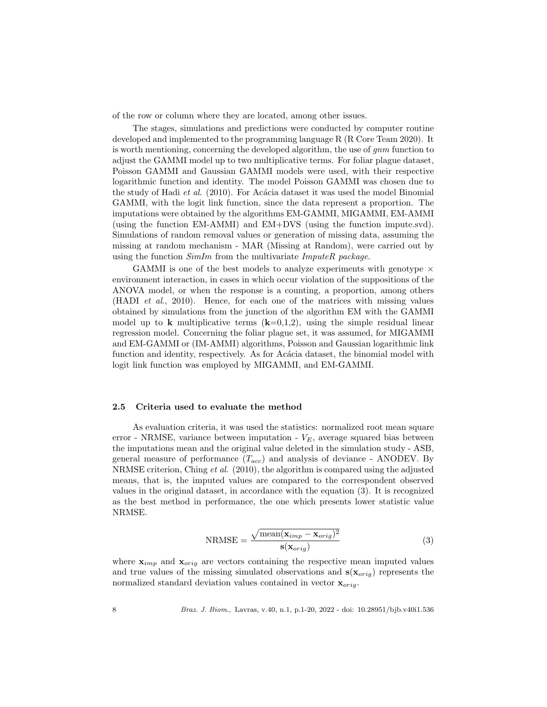of the row or column where they are located, among other issues.

The stages, simulations and predictions were conducted by computer routine developed and implemented to the programming language R (R Core Team 2020). It is worth mentioning, concerning the developed algorithm, the use of *qnm* function to adjust the GAMMI model up to two multiplicative terms. For foliar plague dataset, Poisson GAMMI and Gaussian GAMMI models were used, with their respective logarithmic function and identity. The model Poisson GAMMI was chosen due to the study of Hadi *et al.* (2010). For Acacia dataset it was used the model Binomial GAMMI, with the logit link function, since the data represent a proportion. The imputations were obtained by the algorithms EM-GAMMI, MIGAMMI, EM-AMMI (using the function EM-AMMI) and EM+DVS (using the function impute.svd). Simulations of random removal values or generation of missing data, assuming the missing at random mechanism - MAR (Missing at Random), were carried out by using the function  $SimIm$  from the multivariate  $ImputeR$  package.

GAMMI is one of the best models to analyze experiments with genotype  $\times$ environment interaction, in cases in which occur violation of the suppositions of the ANOVA model, or when the response is a counting, a proportion, among others (HADI et al., 2010). Hence, for each one of the matrices with missing values obtained by simulations from the junction of the algorithm EM with the GAMMI model up to **k** multiplicative terms  $(k=0,1,2)$ , using the simple residual linear regression model. Concerning the foliar plague set, it was assumed, for MIGAMMI and EM-GAMMI or (IM-AMMI) algorithms, Poisson and Gaussian logarithmic link function and identity, respectively. As for Acácia dataset, the binomial model with logit link function was employed by MIGAMMI, and EM-GAMMI.

#### 2.5 Criteria used to evaluate the method

As evaluation criteria, it was used the statistics: normalized root mean square error - NRMSE, variance between imputation -  $V_E$ , average squared bias between the imputations mean and the original value deleted in the simulation study - ASB, general measure of performance  $(T_{acc})$  and analysis of deviance - ANODEV. By NRMSE criterion, Ching et al. (2010), the algorithm is compared using the adjusted means, that is, the imputed values are compared to the correspondent observed values in the original dataset, in accordance with the equation (3). It is recognized as the best method in performance, the one which presents lower statistic value NRMSE.

$$
NRMSE = \frac{\sqrt{mean(\mathbf{x}_{imp} - \mathbf{x}_{orig})^2}}{\mathbf{s}(\mathbf{x}_{orig})}
$$
(3)

where  $\mathbf{x}_{imp}$  and  $\mathbf{x}_{orig}$  are vectors containing the respective mean imputed values and true values of the missing simulated observations and  $\mathbf{s}(\mathbf{x}_{orig})$  represents the normalized standard deviation values contained in vector  $\mathbf{x}_{orig}$ .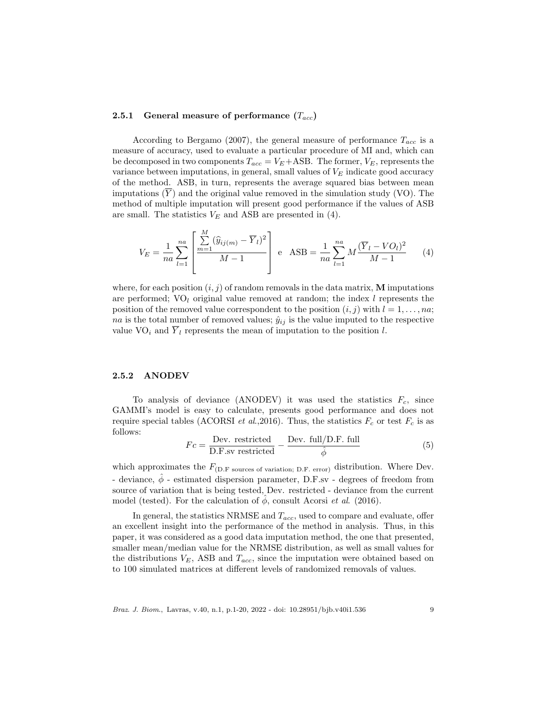#### 2.5.1 General measure of performance  $(T_{acc})$

According to Bergamo (2007), the general measure of performance  $T_{acc}$  is a measure of accuracy, used to evaluate a particular procedure of MI and, which can be decomposed in two components  $T_{acc} = V_E + ASB$ . The former,  $V_E$ , represents the variance between imputations, in general, small values of  $V_E$  indicate good accuracy of the method. ASB, in turn, represents the average squared bias between mean imputations  $(\overline{Y})$  and the original value removed in the simulation study (VO). The method of multiple imputation will present good performance if the values of ASB are small. The statistics  $V_E$  and ASB are presented in (4).

$$
V_E = \frac{1}{na} \sum_{l=1}^{na} \left[ \frac{\sum_{m=1}^{M} (\hat{y}_{ij(m)} - \overline{Y}_l)^2}{M - 1} \right] e \text{ ASB} = \frac{1}{na} \sum_{l=1}^{na} M \frac{(\overline{Y}_l - VO_l)^2}{M - 1} \tag{4}
$$

where, for each position  $(i, j)$  of random removals in the data matrix, M imputations are performed;  $VO<sub>l</sub>$  original value removed at random; the index l represents the position of the removed value correspondent to the position  $(i, j)$  with  $l = 1, \ldots, na;$ na is the total number of removed values;  $\hat{y}_{ij}$  is the value imputed to the respective value  $\text{VO}_i$  and  $\overline{Y}_l$  represents the mean of imputation to the position l.

## 2.5.2 ANODEV

To analysis of deviance (ANODEV) it was used the statistics  $F_c$ , since GAMMI's model is easy to calculate, presents good performance and does not require special tables (ACORSI *et al.*, 2016). Thus, the statistics  $F_c$  or test  $F_c$  is as follows:

$$
Fc = \frac{\text{Dev. restricted}}{\text{D.F.sv restricted}} - \frac{\text{Dev. full/D.F. full}}{\hat{\phi}}
$$
 (5)

which approximates the  $F_{(D,F\ source\ of\ variation; D.F. error)}$  distribution. Where Dev. - deviance,  $\phi$  - estimated dispersion parameter, D.F.sv - degrees of freedom from source of variation that is being tested, Dev. restricted - deviance from the current model (tested). For the calculation of  $\hat{\phi}$ , consult Acorsi *et al.* (2016).

In general, the statistics NRMSE and  $T_{acc}$ , used to compare and evaluate, offer an excellent insight into the performance of the method in analysis. Thus, in this paper, it was considered as a good data imputation method, the one that presented, smaller mean/median value for the NRMSE distribution, as well as small values for the distributions  $V_E$ , ASB and  $T_{acc}$ , since the imputation were obtained based on to 100 simulated matrices at different levels of randomized removals of values.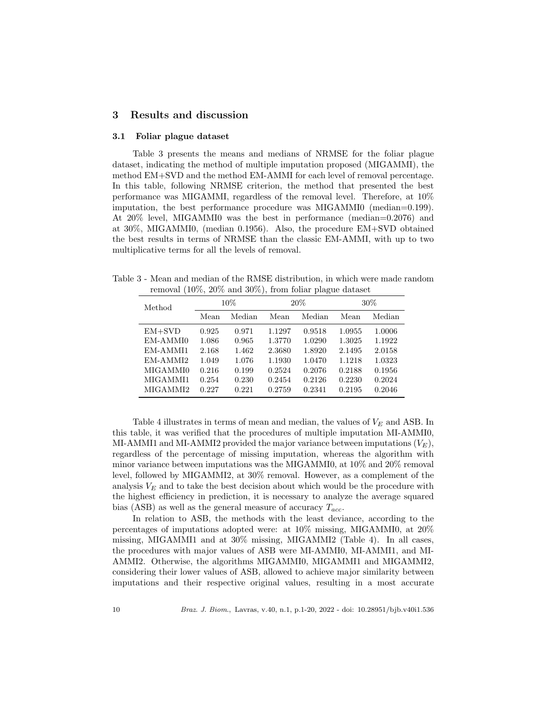# 3 Results and discussion

#### 3.1 Foliar plague dataset

Table 3 presents the means and medians of NRMSE for the foliar plague dataset, indicating the method of multiple imputation proposed (MIGAMMI), the method EM+SVD and the method EM-AMMI for each level of removal percentage. In this table, following NRMSE criterion, the method that presented the best performance was MIGAMMI, regardless of the removal level. Therefore, at 10% imputation, the best performance procedure was MIGAMMI0 (median=0.199). At 20% level, MIGAMMI0 was the best in performance (median=0.2076) and at 30%, MIGAMMI0, (median 0.1956). Also, the procedure EM+SVD obtained the best results in terms of NRMSE than the classic EM-AMMI, with up to two multiplicative terms for all the levels of removal.

Table 3 - Mean and median of the RMSE distribution, in which were made random removal (10%, 20% and 30%), from foliar plague dataset

| Method   | $10\%$ |        |        | 20%    | 30%    |        |
|----------|--------|--------|--------|--------|--------|--------|
|          | Mean   | Median | Mean   | Median | Mean   | Median |
| $EM+SVD$ | 0.925  | 0.971  | 1.1297 | 0.9518 | 1.0955 | 1.0006 |
| EM-AMMI0 | 1.086  | 0.965  | 1.3770 | 1.0290 | 1.3025 | 1.1922 |
| EM-AMMI1 | 2.168  | 1.462  | 2.3680 | 1.8920 | 2.1495 | 2.0158 |
| EM-AMMI2 | 1.049  | 1.076  | 1.1930 | 1.0470 | 1.1218 | 1.0323 |
| MIGAMMI0 | 0.216  | 0.199  | 0.2524 | 0.2076 | 0.2188 | 0.1956 |
| MIGAMMI1 | 0.254  | 0.230  | 0.2454 | 0.2126 | 0.2230 | 0.2024 |
| MIGAMMI2 | 0.227  | 0.221  | 0.2759 | 0.2341 | 0.2195 | 0.2046 |

Table 4 illustrates in terms of mean and median, the values of  $V_E$  and ASB. In this table, it was verified that the procedures of multiple imputation MI-AMMI0, MI-AMMI1 and MI-AMMI2 provided the major variance between imputations  $(V_E)$ , regardless of the percentage of missing imputation, whereas the algorithm with minor variance between imputations was the MIGAMMI0, at 10% and 20% removal level, followed by MIGAMMI2, at 30% removal. However, as a complement of the analysis  $V_E$  and to take the best decision about which would be the procedure with the highest efficiency in prediction, it is necessary to analyze the average squared bias (ASB) as well as the general measure of accuracy  $T_{acc}$ .

In relation to ASB, the methods with the least deviance, according to the percentages of imputations adopted were: at 10% missing, MIGAMMI0, at 20% missing, MIGAMMI1 and at 30% missing, MIGAMMI2 (Table 4). In all cases, the procedures with major values of ASB were MI-AMMI0, MI-AMMI1, and MI-AMMI2. Otherwise, the algorithms MIGAMMI0, MIGAMMI1 and MIGAMMI2, considering their lower values of ASB, allowed to achieve major similarity between imputations and their respective original values, resulting in a most accurate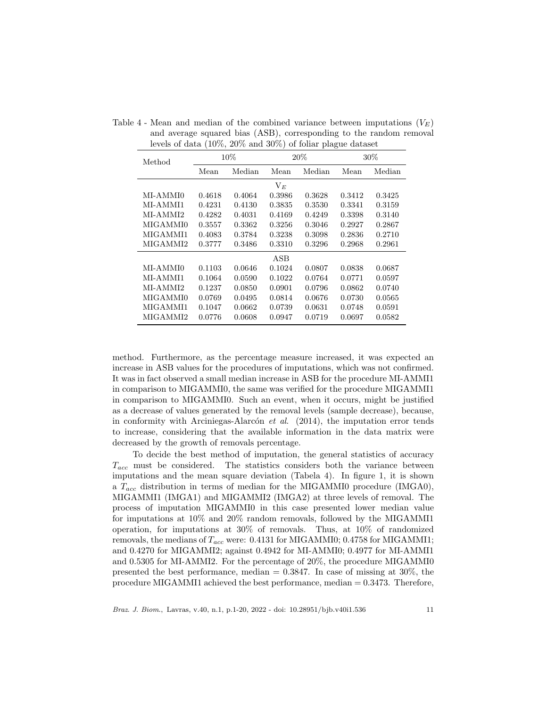| Method   | 10%    |        |        | 20%    | $30\%$ |        |
|----------|--------|--------|--------|--------|--------|--------|
|          | Mean   | Median | Mean   | Median | Mean   | Median |
|          |        |        | $V_E$  |        |        |        |
| MI-AMMI0 | 0.4618 | 0.4064 | 0.3986 | 0.3628 | 0.3412 | 0.3425 |
| MI-AMMI1 | 0.4231 | 0.4130 | 0.3835 | 0.3530 | 0.3341 | 0.3159 |
| MI-AMMI2 | 0.4282 | 0.4031 | 0.4169 | 0.4249 | 0.3398 | 0.3140 |
| MIGAMMI0 | 0.3557 | 0.3362 | 0.3256 | 0.3046 | 0.2927 | 0.2867 |
| MIGAMMI1 | 0.4083 | 0.3784 | 0.3238 | 0.3098 | 0.2836 | 0.2710 |
| MIGAMMI2 | 0.3777 | 0.3486 | 0.3310 | 0.3296 | 0.2968 | 0.2961 |
|          |        |        | ASB    |        |        |        |
| MI-AMMI0 | 0.1103 | 0.0646 | 0.1024 | 0.0807 | 0.0838 | 0.0687 |
| MI-AMMI1 | 0.1064 | 0.0590 | 0.1022 | 0.0764 | 0.0771 | 0.0597 |
| MI-AMMI2 | 0.1237 | 0.0850 | 0.0901 | 0.0796 | 0.0862 | 0.0740 |
| MIGAMMI0 | 0.0769 | 0.0495 | 0.0814 | 0.0676 | 0.0730 | 0.0565 |
| MIGAMMI1 | 0.1047 | 0.0662 | 0.0739 | 0.0631 | 0.0748 | 0.0591 |
| MIGAMMI2 | 0.0776 | 0.0608 | 0.0947 | 0.0719 | 0.0697 | 0.0582 |

Table 4 - Mean and median of the combined variance between imputations  $(V_E)$ and average squared bias (ASB), corresponding to the random removal levels of data (10%, 20% and 30%) of foliar plague dataset

method. Furthermore, as the percentage measure increased, it was expected an increase in ASB values for the procedures of imputations, which was not confirmed. It was in fact observed a small median increase in ASB for the procedure MI-AMMI1 in comparison to MIGAMMI0, the same was verified for the procedure MIGAMMI1 in comparison to MIGAMMI0. Such an event, when it occurs, might be justified as a decrease of values generated by the removal levels (sample decrease), because, in conformity with Arciniegas-Alarcón et al.  $(2014)$ , the imputation error tends to increase, considering that the available information in the data matrix were decreased by the growth of removals percentage.

To decide the best method of imputation, the general statistics of accuracy  $T_{acc}$  must be considered. The statistics considers both the variance between imputations and the mean square deviation (Tabela 4). In figure 1, it is shown a  $T_{acc}$  distribution in terms of median for the MIGAMMI0 procedure (IMGA0), MIGAMMI1 (IMGA1) and MIGAMMI2 (IMGA2) at three levels of removal. The process of imputation MIGAMMI0 in this case presented lower median value for imputations at 10% and 20% random removals, followed by the MIGAMMI1 operation, for imputations at 30% of removals. Thus, at 10% of randomized removals, the medians of  $T_{acc}$  were: 0.4131 for MIGAMMI0; 0.4758 for MIGAMMI1; and 0.4270 for MIGAMMI2; against 0.4942 for MI-AMMI0; 0.4977 for MI-AMMI1 and 0.5305 for MI-AMMI2. For the percentage of 20%, the procedure MIGAMMI0 presented the best performance, median  $= 0.3847$ . In case of missing at 30%, the procedure MIGAMMI1 achieved the best performance, median = 0.3473. Therefore,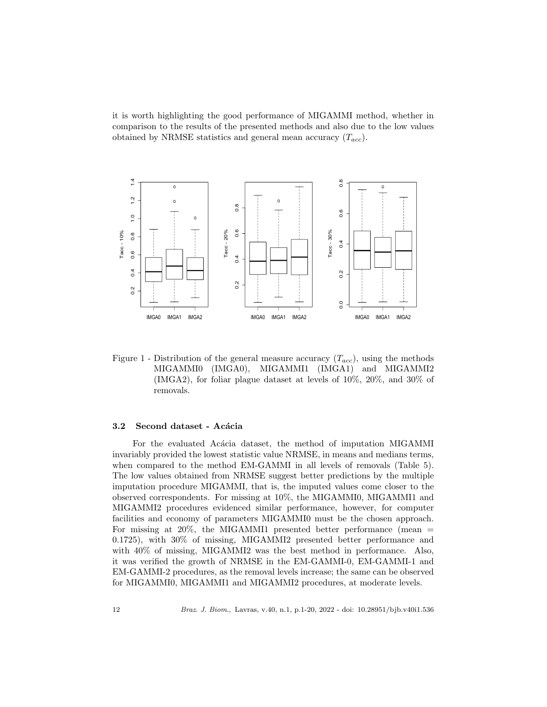it is worth highlighting the good performance of MIGAMMI method, whether in comparison to the results of the presented methods and also due to the low values obtained by NRMSE statistics and general mean accuracy  $(T_{acc})$ .



Figure 1 - Distribution of the general measure accuracy  $(T_{acc})$ , using the methods MIGAMMI0 (IMGA0), MIGAMMI1 (IMGA1) and MIGAMMI2 (IMGA2), for foliar plague dataset at levels of 10%, 20%, and 30% of removals.

#### 3.2 Second dataset - Acácia

For the evaluated Acácia dataset, the method of imputation MIGAMMI invariably provided the lowest statistic value NRMSE, in means and medians terms, when compared to the method EM-GAMMI in all levels of removals (Table 5). The low values obtained from NRMSE suggest better predictions by the multiple imputation procedure MIGAMMI, that is, the imputed values come closer to the observed correspondents. For missing at 10%, the MIGAMMI0, MIGAMMI1 and MIGAMMI2 procedures evidenced similar performance, however, for computer facilities and economy of parameters MIGAMMI0 must be the chosen approach. For missing at 20%, the MIGAMMI1 presented better performance (mean = 0.1725), with 30% of missing, MIGAMMI2 presented better performance and with 40% of missing, MIGAMMI2 was the best method in performance. Also, it was verified the growth of NRMSE in the EM-GAMMI-0, EM-GAMMI-1 and EM-GAMMI-2 procedures, as the removal levels increase; the same can be observed for MIGAMMI0, MIGAMMI1 and MIGAMMI2 procedures, at moderate levels.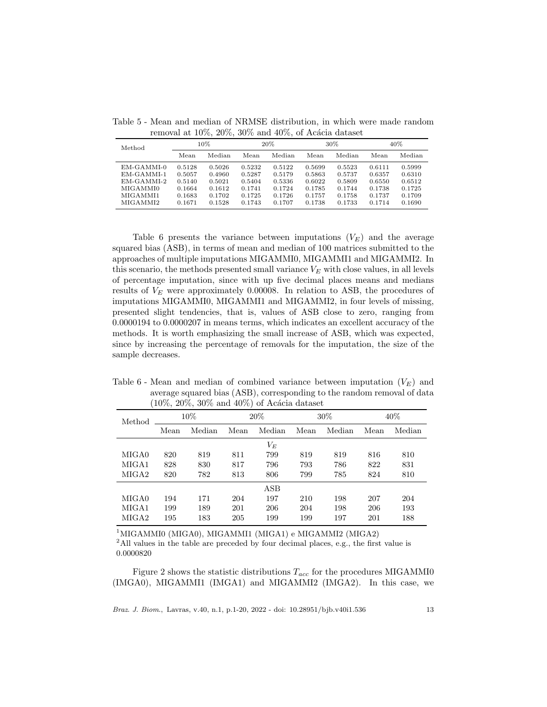Table 5 - Mean and median of NRMSE distribution, in which were made random removal at  $10\%, 20\%, 30\%$  and  $40\%,$  of Acácia dataset

| Method                                                                     | 10%                                                      |                                                          | 20%                                                      |                                                          | $30\%$                                                   |                                                          | 40%                                                      |                                                          |
|----------------------------------------------------------------------------|----------------------------------------------------------|----------------------------------------------------------|----------------------------------------------------------|----------------------------------------------------------|----------------------------------------------------------|----------------------------------------------------------|----------------------------------------------------------|----------------------------------------------------------|
|                                                                            | Mean                                                     | Median                                                   | Mean                                                     | Median                                                   | Mean                                                     | Median                                                   | Mean                                                     | Median                                                   |
| EM-GAMMI-0<br>EM-GAMMI-1<br>EM-GAMMI-2<br>MIGAMMI0<br>MIGAMMI1<br>MIGAMMI2 | 0.5128<br>0.5057<br>0.5140<br>0.1664<br>0.1683<br>0.1671 | 0.5026<br>0.4960<br>0.5021<br>0.1612<br>0.1702<br>0.1528 | 0.5232<br>0.5287<br>0.5404<br>0.1741<br>0.1725<br>0.1743 | 0.5122<br>0.5179<br>0.5336<br>0.1724<br>0.1726<br>0.1707 | 0.5699<br>0.5863<br>0.6022<br>0.1785<br>0.1757<br>0.1738 | 0.5523<br>0.5737<br>0.5809<br>0.1744<br>0.1758<br>0.1733 | 0.6111<br>0.6357<br>0.6550<br>0.1738<br>0.1737<br>0.1714 | 0.5999<br>0.6310<br>0.6512<br>0.1725<br>0.1709<br>0.1690 |

Table 6 presents the variance between imputations  $(V_E)$  and the average squared bias (ASB), in terms of mean and median of 100 matrices submitted to the approaches of multiple imputations MIGAMMI0, MIGAMMI1 and MIGAMMI2. In this scenario, the methods presented small variance  $V_E$  with close values, in all levels of percentage imputation, since with up five decimal places means and medians results of  $V_E$  were approximately 0.00008. In relation to ASB, the procedures of imputations MIGAMMI0, MIGAMMI1 and MIGAMMI2, in four levels of missing, presented slight tendencies, that is, values of ASB close to zero, ranging from 0.0000194 to 0.0000207 in means terms, which indicates an excellent accuracy of the methods. It is worth emphasizing the small increase of ASB, which was expected, since by increasing the percentage of removals for the imputation, the size of the sample decreases.

Table 6 - Mean and median of combined variance between imputation  $(V_E)$  and average squared bias (ASB), corresponding to the random removal of data  $(10\%, 20\%, 30\% \text{ and } 40\%)$  of Acácia dataset

| Method | $10\%$ |        | 20%  |                | $30\%$ |        | 40%  |        |
|--------|--------|--------|------|----------------|--------|--------|------|--------|
|        | Mean   | Median | Mean | Median         | Mean   | Median | Mean | Median |
|        |        |        |      | $V_{E}$        |        |        |      |        |
| MIGA0  | 820    | 819    | 811  | 799            | 819    | 819    | 816  | 810    |
| MIGA1  | 828    | 830    | 817  | 796            | 793    | 786    | 822  | 831    |
| MIGA2  | 820    | 782    | 813  | 806            | 799    | 785    | 824  | 810    |
|        |        |        |      | $\mathbf{ASB}$ |        |        |      |        |
| MIGA0  | 194    | 171    | 204  | 197            | 210    | 198    | 207  | 204    |
| MIGA1  | 199    | 189    | 201  | 206            | 204    | 198    | 206  | 193    |
| MIGA2  | 195    | 183    | 205  | 199            | 199    | 197    | 201  | 188    |

<sup>1</sup>MIGAMMI0 (MIGA0), MIGAMMI1 (MIGA1) e MIGAMMI2 (MIGA2)

 $^{2}$ All values in the table are preceded by four decimal places, e.g., the first value is 0.0000820

Figure 2 shows the statistic distributions  $T_{acc}$  for the procedures MIGAMMI0 (IMGA0), MIGAMMI1 (IMGA1) and MIGAMMI2 (IMGA2). In this case, we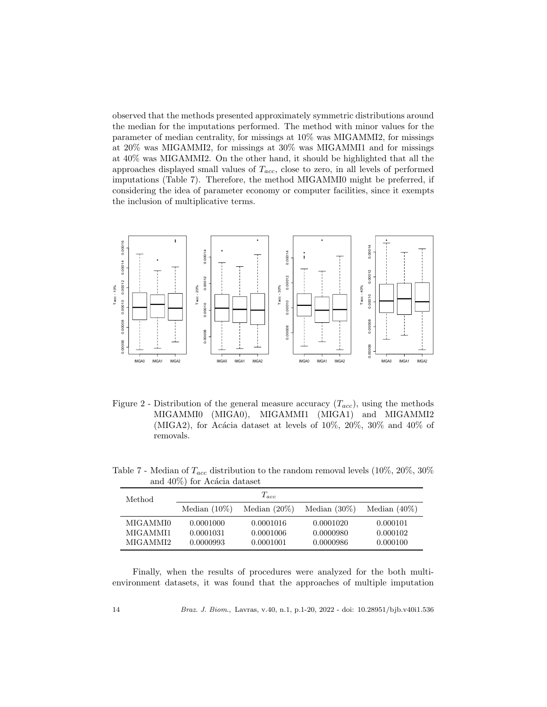observed that the methods presented approximately symmetric distributions around the median for the imputations performed. The method with minor values for the parameter of median centrality, for missings at 10% was MIGAMMI2, for missings at 20% was MIGAMMI2, for missings at 30% was MIGAMMI1 and for missings at 40% was MIGAMMI2. On the other hand, it should be highlighted that all the approaches displayed small values of  $T_{acc}$ , close to zero, in all levels of performed imputations (Table 7). Therefore, the method MIGAMMI0 might be preferred, if considering the idea of parameter economy or computer facilities, since it exempts the inclusion of multiplicative terms.



Figure 2 - Distribution of the general measure accuracy  $(T_{acc})$ , using the methods MIGAMMI0 (MIGA0), MIGAMMI1 (MIGA1) and MIGAMMI2 (MIGA2), for Acácia dataset at levels of  $10\%, 20\%, 30\%$  and  $40\%$  of removals.

Table 7 - Median of  $T_{acc}$  distribution to the random removal levels (10%, 20%, 30%) and  $40\%$ ) for Acácia dataset

| Method   |                 | $T_{acc}$       |                 |                 |
|----------|-----------------|-----------------|-----------------|-----------------|
|          | Median $(10\%)$ | Median $(20\%)$ | Median $(30\%)$ | Median $(40\%)$ |
| MIGAMMI0 | 0.0001000       | 0.0001016       | 0.0001020       | 0.000101        |
| MIGAMMI1 | 0.0001031       | 0.0001006       | 0.0000980       | 0.000102        |
| MIGAMMI2 | 0.0000993       | 0.0001001       | 0.0000986       | 0.000100        |

Finally, when the results of procedures were analyzed for the both multienvironment datasets, it was found that the approaches of multiple imputation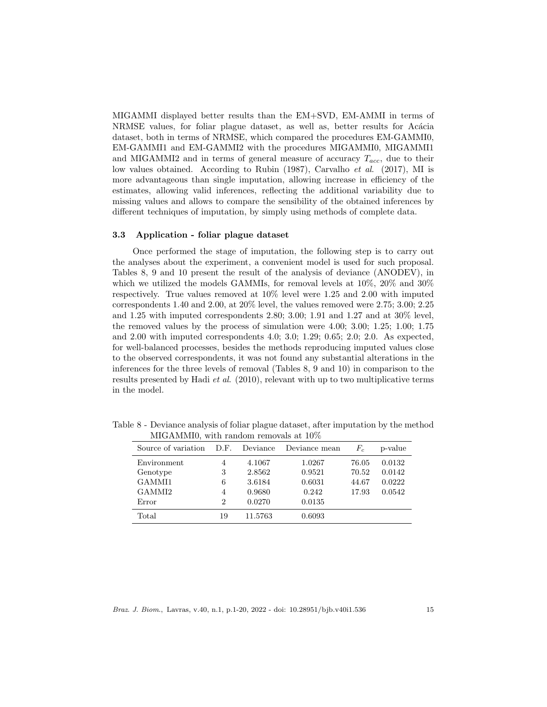MIGAMMI displayed better results than the EM+SVD, EM-AMMI in terms of NRMSE values, for foliar plague dataset, as well as, better results for Acácia dataset, both in terms of NRMSE, which compared the procedures EM-GAMMI0, EM-GAMMI1 and EM-GAMMI2 with the procedures MIGAMMI0, MIGAMMI1 and MIGAMMI2 and in terms of general measure of accuracy  $T_{acc}$ , due to their low values obtained. According to Rubin (1987), Carvalho et al. (2017), MI is more advantageous than single imputation, allowing increase in efficiency of the estimates, allowing valid inferences, reflecting the additional variability due to missing values and allows to compare the sensibility of the obtained inferences by different techniques of imputation, by simply using methods of complete data.

#### 3.3 Application - foliar plague dataset

Once performed the stage of imputation, the following step is to carry out the analyses about the experiment, a convenient model is used for such proposal. Tables 8, 9 and 10 present the result of the analysis of deviance (ANODEV), in which we utilized the models GAMMIs, for removal levels at 10%, 20% and 30% respectively. True values removed at 10% level were 1.25 and 2.00 with imputed correspondents 1.40 and 2.00, at 20% level, the values removed were 2.75; 3.00; 2.25 and 1.25 with imputed correspondents 2.80; 3.00; 1.91 and 1.27 and at 30% level, the removed values by the process of simulation were 4.00; 3.00; 1.25; 1.00; 1.75 and 2.00 with imputed correspondents 4.0; 3.0; 1.29; 0.65; 2.0; 2.0. As expected, for well-balanced processes, besides the methods reproducing imputed values close to the observed correspondents, it was not found any substantial alterations in the inferences for the three levels of removal (Tables 8, 9 and 10) in comparison to the results presented by Hadi et al. (2010), relevant with up to two multiplicative terms in the model.

| Source of variation | D.F. | Deviance | Deviance mean | $F_c$ | p-value |
|---------------------|------|----------|---------------|-------|---------|
| Environment         | 4    | 4.1067   | 1.0267        | 76.05 | 0.0132  |
| Genotype            | 3    | 2.8562   | 0.9521        | 70.52 | 0.0142  |
| GAMMI1              | 6    | 3.6184   | 0.6031        | 44.67 | 0.0222  |
| GAMMI2              | 4    | 0.9680   | 0.242         | 17.93 | 0.0542  |
| Error               | 2    | 0.0270   | 0.0135        |       |         |
| Total               | 19   | 11.5763  | 0.6093        |       |         |

Table 8 - Deviance analysis of foliar plague dataset, after imputation by the method MIGAMMI0, with random removals at 10%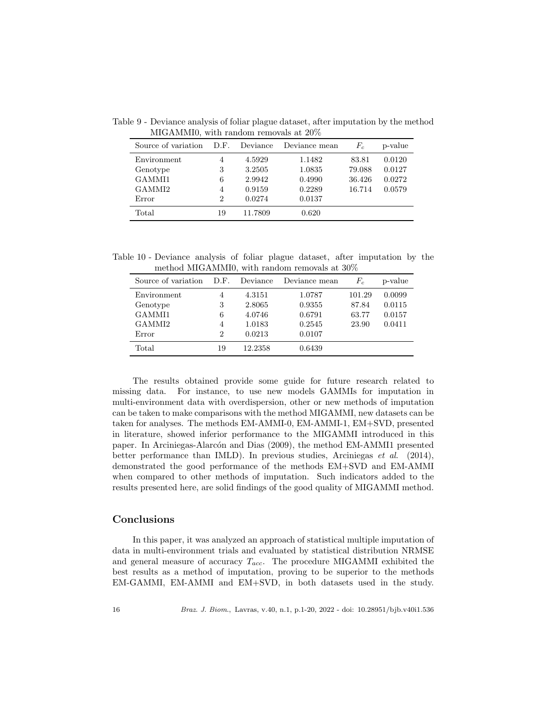| Source of variation D.F. |                | Deviance | Deviance mean | $F_c$  | p-value |
|--------------------------|----------------|----------|---------------|--------|---------|
| Environment              | 4              | 4.5929   | 1.1482        | 83.81  | 0.0120  |
| Genotype                 | 3              | 3.2505   | 1.0835        | 79.088 | 0.0127  |
| GAMMI1                   | 6              | 2.9942   | 0.4990        | 36.426 | 0.0272  |
| GAMMI2                   | 4              | 0.9159   | 0.2289        | 16.714 | 0.0579  |
| Error                    | $\overline{2}$ | 0.0274   | 0.0137        |        |         |
| Total                    | 19             | 11.7809  | 0.620         |        |         |

Table 9 - Deviance analysis of foliar plague dataset, after imputation by the method MIGAMMI0, with random removals at 20%

Table 10 - Deviance analysis of foliar plague dataset, after imputation by the method MIGAMMI0, with random removals at 30%

| Source of variation | D.F.           | Deviance | Deviance mean | $F_c$  | p-value |
|---------------------|----------------|----------|---------------|--------|---------|
| Environment         | 4              | 4.3151   | 1.0787        | 101.29 | 0.0099  |
| Genotype            | 3              | 2.8065   | 0.9355        | 87.84  | 0.0115  |
| GAMMI1              | 6              | 4.0746   | 0.6791        | 63.77  | 0.0157  |
| GAMMI <sub>2</sub>  | 4              | 1.0183   | 0.2545        | 23.90  | 0.0411  |
| Error               | $\overline{2}$ | 0.0213   | 0.0107        |        |         |
| Total               | 19             | 12.2358  | 0.6439        |        |         |

The results obtained provide some guide for future research related to missing data. For instance, to use new models GAMMIs for imputation in multi-environment data with overdispersion, other or new methods of imputation can be taken to make comparisons with the method MIGAMMI, new datasets can be taken for analyses. The methods EM-AMMI-0, EM-AMMI-1, EM+SVD, presented in literature, showed inferior performance to the MIGAMMI introduced in this paper. In Arciniegas-Alarcón and Dias (2009), the method EM-AMMI1 presented better performance than IMLD). In previous studies, Arciniegas et al. (2014), demonstrated the good performance of the methods EM+SVD and EM-AMMI when compared to other methods of imputation. Such indicators added to the results presented here, are solid findings of the good quality of MIGAMMI method.

## Conclusions

In this paper, it was analyzed an approach of statistical multiple imputation of data in multi-environment trials and evaluated by statistical distribution NRMSE and general measure of accuracy  $T_{acc}$ . The procedure MIGAMMI exhibited the best results as a method of imputation, proving to be superior to the methods EM-GAMMI, EM-AMMI and EM+SVD, in both datasets used in the study.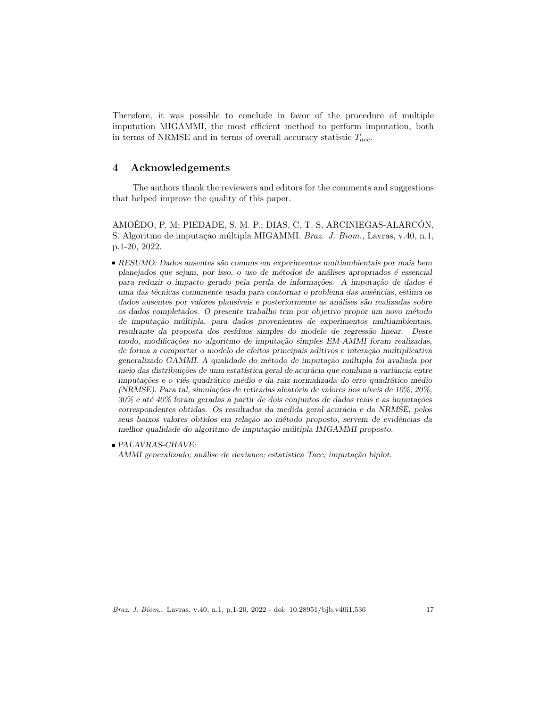Therefore, it was possible to conclude in favor of the procedure of multiple imputation MIGAMMI, the most efficient method to perform imputation, both in terms of NRMSE and in terms of overall accuracy statistic  $T_{acc}$ .

# 4 Acknowledgements

The authors thank the reviewers and editors for the comments and suggestions that helped improve the quality of this paper.

AMOÊDO, P. M; PIEDADE, S. M. P.; DIAS, C. T. S, ARCINIEGAS-ALARCÓN, S. Algoritmo de imputação múltipla MIGAMMI. Braz. J. Biom., Lavras, v.40, n.1, p.1-20, 2022.

- RESUMO: Dados ausentes são comuns em experimentos multiambientais por mais bem planejados que sejam, por isso, o uso de métodos de análises apropriados é essencial para reduzir o impacto gerado pela perda de informações. A imputação de dados é uma das técnicas comumente usada para contornar o problema das ausências, estima os dados ausentes por valores plausíveis e posteriormente as análises são realizadas sobre os dados completados. O presente trabalho tem por objetivo propor um novo m´etodo de imputação múltipla, para dados provenientes de experimentos multiambientais, resultante da proposta dos resíduos simples do modelo de regressão linear. Deste modo, modificações no algoritmo de imputação simples EM-AMMI foram realizadas, de forma a comportar o modelo de efeitos principais aditivos e interação multiplicativa generalizado GAMMI. A qualidade do método de imputação múltipla foi avaliada por meio das distribuições de uma estatística geral de acurácia que combina a variância entre imputações e o viés quadrático médio e da raiz normalizada do erro quadrático médio (NRMSE). Para tal, simulações de retiradas aleatória de valores nos níveis de 10%, 20%,  $30\%$  e até  $40\%$  foram geradas a partir de dois conjuntos de dados reais e as imputações correspondentes obtidas. Os resultados da medida geral acurácia e da NRMSE, pelos seus baixos valores obtidos em relação ao método proposto, servem de evidências da melhor qualidade do algoritmo de imputação múltipla IMGAMMI proposto.
- PALAVRAS-CHAVE:

AMMI generalizado; análise de deviance; estatística Tacc; imputação biplot.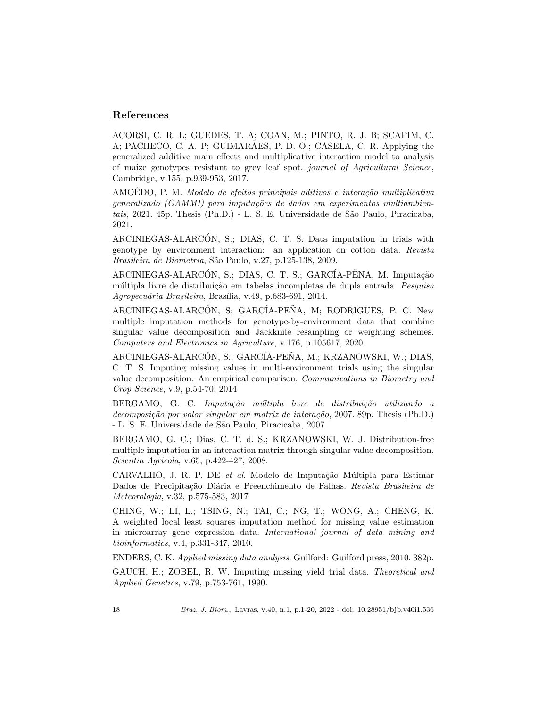# References

ACORSI, C. R. L; GUEDES, T. A; COAN, M.; PINTO, R. J. B; SCAPIM, C. A; PACHECO, C. A. P; GUIMARAES, P. D. O.; CASELA, C. R. Applying the generalized additive main effects and multiplicative interaction model to analysis of maize genotypes resistant to grey leaf spot. journal of Agricultural Science, Cambridge, v.155, p.939-953, 2017.

AMOEDO, P. M. Modelo de efeitos principais aditivos e interação multiplicativa generalizado (GAMMI) para imputações de dados em experimentos multiambientais, 2021. 45p. Thesis (Ph.D.) - L. S. E. Universidade de São Paulo, Piracicaba, 2021.

ARCINIEGAS-ALARCON, S.; DIAS, C. T. S. Data imputation in trials with ´ genotype by environment interaction: an application on cotton data. Revista Brasileira de Biometria, São Paulo, v.27, p.125-138, 2009.

ARCINIEGAS-ALARCÓN, S.; DIAS, C. T. S.; GARCÍA-PENA, M. Imputação múltipla livre de distribuição em tabelas incompletas de dupla entrada. Pesquisa Agropecuária Brasileira, Brasília, v.49, p.683-691, 2014.

ARCINIEGAS-ALARCÓN, S; GARCÍA-PEÑA, M; RODRIGUES, P. C. New multiple imputation methods for genotype-by-environment data that combine singular value decomposition and Jackknife resampling or weighting schemes. Computers and Electronics in Agriculture, v.176, p.105617, 2020.

ARCINIEGAS-ALARCÓN, S.; GARCÍA-PEŇA, M.; KRZANOWSKI, W.; DIAS, C. T. S. Imputing missing values in multi-environment trials using the singular value decomposition: An empirical comparison. Communications in Biometry and Crop Science, v.9, p.54-70, 2014

BERGAMO, G. C. Imputação múltipla livre de distribuição utilizando a  $decomposic\tilde{a}o$  por valor singular em matriz de interação, 2007. 89p. Thesis (Ph.D.) - L. S. E. Universidade de S˜ao Paulo, Piracicaba, 2007.

BERGAMO, G. C.; Dias, C. T. d. S.; KRZANOWSKI, W. J. Distribution-free multiple imputation in an interaction matrix through singular value decomposition. Scientia Agricola, v.65, p.422-427, 2008.

CARVALHO, J. R. P. DE et al. Modelo de Imputação Múltipla para Estimar Dados de Precipitação Diária e Preenchimento de Falhas. Revista Brasileira de Meteorologia, v.32, p.575-583, 2017

CHING, W.; LI, L.; TSING, N.; TAI, C.; NG, T.; WONG, A.; CHENG, K. A weighted local least squares imputation method for missing value estimation in microarray gene expression data. International journal of data mining and bioinformatics, v.4, p.331-347, 2010.

ENDERS, C. K. Applied missing data analysis. Guilford: Guilford press, 2010. 382p.

GAUCH, H.; ZOBEL, R. W. Imputing missing yield trial data. Theoretical and Applied Genetics, v.79, p.753-761, 1990.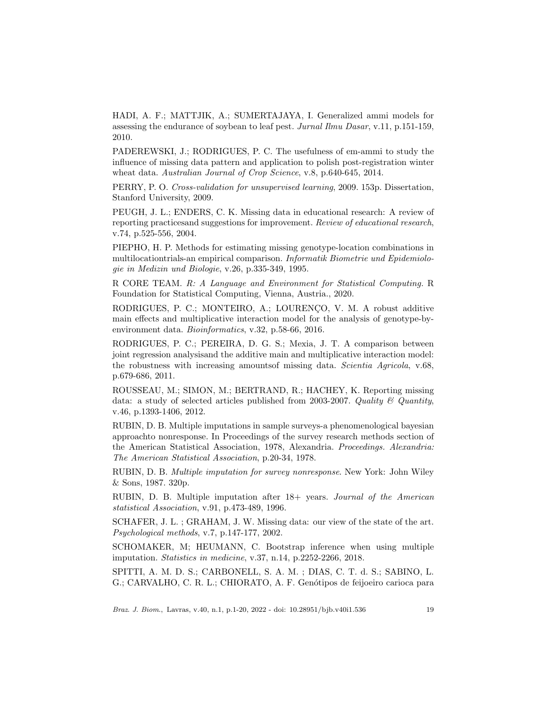HADI, A. F.; MATTJIK, A.; SUMERTAJAYA, I. Generalized ammi models for assessing the endurance of soybean to leaf pest. Jurnal Ilmu Dasar, v.11, p.151-159, 2010.

PADEREWSKI, J.; RODRIGUES, P. C. The usefulness of em-ammi to study the influence of missing data pattern and application to polish post-registration winter wheat data. Australian Journal of Crop Science, v.8, p.640-645, 2014.

PERRY, P. O. Cross-validation for unsupervised learning, 2009. 153p. Dissertation, Stanford University, 2009.

PEUGH, J. L.; ENDERS, C. K. Missing data in educational research: A review of reporting practicesand suggestions for improvement. Review of educational research, v.74, p.525-556, 2004.

PIEPHO, H. P. Methods for estimating missing genotype-location combinations in multilocationtrials-an empirical comparison. Informatik Biometrie und Epidemiologie in Medizin und Biologie, v.26, p.335-349, 1995.

R CORE TEAM. R: A Language and Environment for Statistical Computing. R Foundation for Statistical Computing, Vienna, Austria., 2020.

RODRIGUES, P. C.; MONTEIRO, A.; LOURENCO, V. M. A robust additive main effects and multiplicative interaction model for the analysis of genotype-byenvironment data. Bioinformatics, v.32, p.58-66, 2016.

RODRIGUES, P. C.; PEREIRA, D. G. S.; Mexia, J. T. A comparison between joint regression analysisand the additive main and multiplicative interaction model: the robustness with increasing amountsof missing data. Scientia Agricola, v.68, p.679-686, 2011.

ROUSSEAU, M.; SIMON, M.; BERTRAND, R.; HACHEY, K. Reporting missing data: a study of selected articles published from 2003-2007. Quality  $\mathcal C$  Quantity, v.46, p.1393-1406, 2012.

RUBIN, D. B. Multiple imputations in sample surveys-a phenomenological bayesian approachto nonresponse. In Proceedings of the survey research methods section of the American Statistical Association, 1978, Alexandria. Proceedings. Alexandria: The American Statistical Association, p.20-34, 1978.

RUBIN, D. B. Multiple imputation for survey nonresponse. New York: John Wiley & Sons, 1987. 320p.

RUBIN, D. B. Multiple imputation after 18+ years. Journal of the American statistical Association, v.91, p.473-489, 1996.

SCHAFER, J. L. ; GRAHAM, J. W. Missing data: our view of the state of the art. Psychological methods, v.7, p.147-177, 2002.

SCHOMAKER, M; HEUMANN, C. Bootstrap inference when using multiple imputation. Statistics in medicine, v.37, n.14, p.2252-2266, 2018.

SPITTI, A. M. D. S.; CARBONELL, S. A. M. ; DIAS, C. T. d. S.; SABINO, L. G.; CARVALHO, C. R. L.; CHIORATO, A. F. Genótipos de feijoeiro carioca para